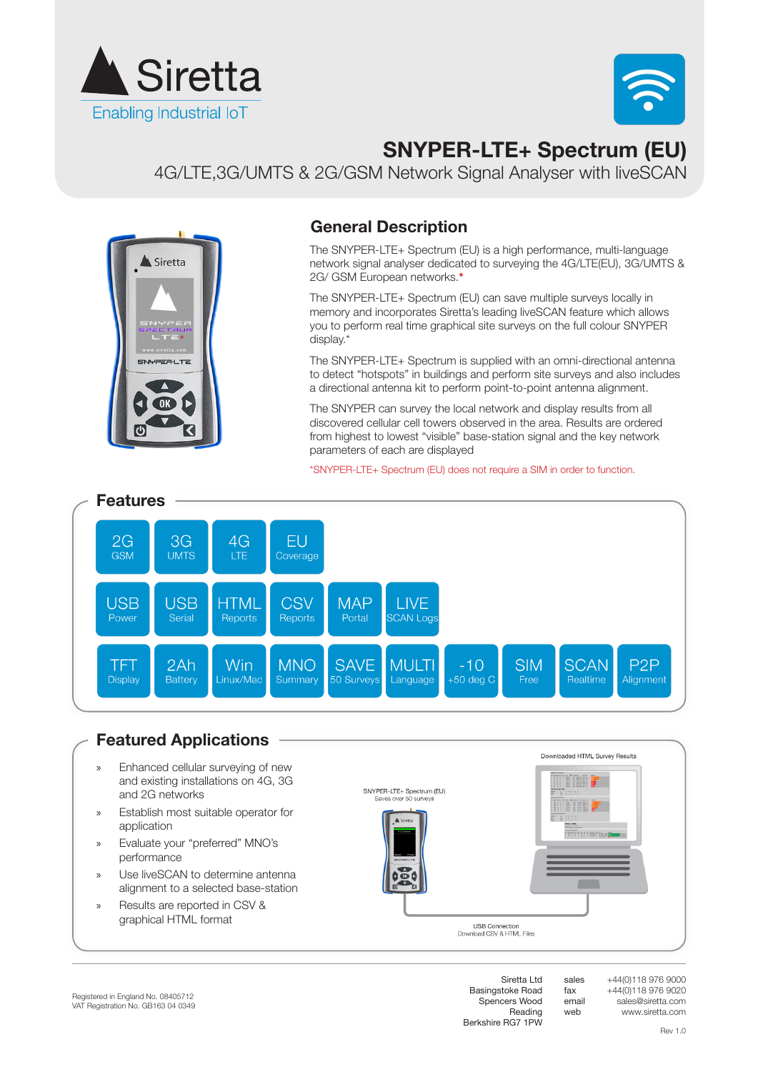



# **SNYPER-LTE+ Spectrum (EU)**

4G/LTE,3G/UMTS & 2G/GSM Network Signal Analyser with liveSCAN



#### **General Description**

The SNYPER-LTE+ Spectrum (EU) is a high performance, multi-language network signal analyser dedicated to surveying the 4G/LTE(EU), 3G/UMTS & 2G/ GSM European networks.**\***

The SNYPER-LTE+ Spectrum (EU) can save multiple surveys locally in memory and incorporates Siretta's leading liveSCAN feature which allows you to perform real time graphical site surveys on the full colour SNYPER display.\*

The SNYPER-LTE+ Spectrum is supplied with an omni-directional antenna to detect "hotspots" in buildings and perform site surveys and also includes a directional antenna kit to perform point-to-point antenna alignment.

The SNYPER can survey the local network and display results from all discovered cellular cell towers observed in the area. Results are ordered from highest to lowest "visible" base-station signal and the key network parameters of each are displayed

\*SNYPER-LTE+ Spectrum (EU) does not require a SIM in order to function.



#### **Featured Applications**

- » Enhanced cellular surveying of new and existing installations on 4G, 3G and 2G networks
- » Establish most suitable operator for application
- » Evaluate your "preferred" MNO's performance
- » Use liveSCAN to determine antenna alignment to a selected base-station
- » Results are reported in CSV & graphical HTML format



**USB Connection**<br>nload CSV & HTML Files  $D<sub>0</sub>$ 

> +44(0)118 976 9000 +44(0)118 976 9020 sales@siretta.com www.siretta.com

Basingstoke Road Spencers Wood Reading Berkshire RG7 1PW

Siretta Ltd

sales fax email web

Downloaded HTML Survey Results

Ini 7

mirrerrasma